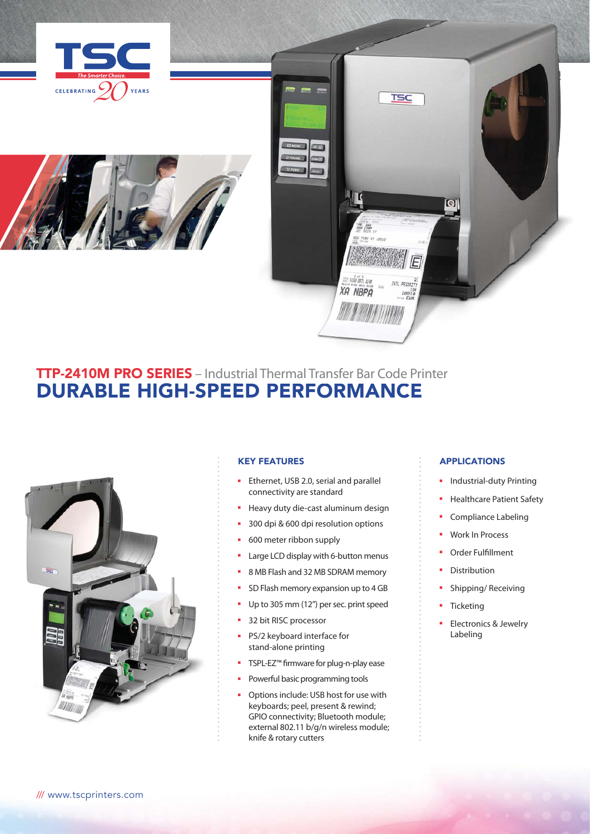





# TTP-2410M PRO SERIES - Industrial Thermal Transfer Bar Code Printer DURABLE HIGH-SPEED PERFORMANCE



# KEY FEATURES

- Ethernet, USB 2.0, serial and parallel connectivity are standard
- Heavy duty die-cast aluminum design
- 300 dpi & 600 dpi resolution options
- 600 meter ribbon supply
- Large LCD display with 6-button menus
- 8 MB Flash and 32 MB SDRAM memory
- SD Flash memory expansion up to 4 GB
- Up to 305 mm (12") per sec. print speed
- 32 bit RISC processor
- PS/2 keyboard interface for stand-alone printing
- TSPL-EZ<sup>™</sup> firmware for plug-n-play ease
- Powerful basic programming tools
- Options include: USB host for use with keyboards; peel, present & rewind; GPIO connectivity; Bluetooth module; external 802.11 b/g/n wireless module; knife & rotary cutters

# APPLICATIONS

- Industrial-duty Printing
- **Healthcare Patient Safety**
- Compliance Labeling
- Work In Process
- Order Fulfillment
	- **Distribution**
- Shipping/Receiving
- **Ticketing**
- **Electronics & Jewelry** Labeling